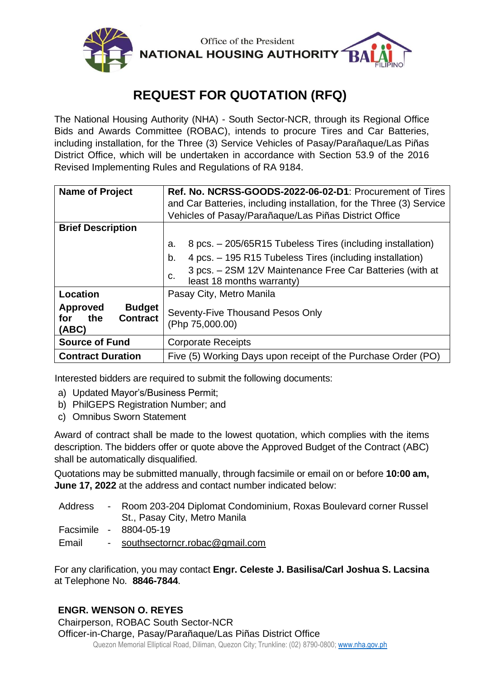

# **REQUEST FOR QUOTATION (RFQ)**

The National Housing Authority (NHA) - South Sector-NCR, through its Regional Office Bids and Awards Committee (ROBAC), intends to procure Tires and Car Batteries, including installation, for the Three (3) Service Vehicles of Pasay/Parañaque/Las Piñas District Office, which will be undertaken in accordance with Section 53.9 of the 2016 Revised Implementing Rules and Regulations of RA 9184.

| <b>Name of Project</b>                                                     | Ref. No. NCRSS-GOODS-2022-06-02-D1: Procurement of Tires<br>and Car Batteries, including installation, for the Three (3) Service<br>Vehicles of Pasay/Parañaque/Las Piñas District Office |  |  |
|----------------------------------------------------------------------------|-------------------------------------------------------------------------------------------------------------------------------------------------------------------------------------------|--|--|
| <b>Brief Description</b>                                                   |                                                                                                                                                                                           |  |  |
|                                                                            | 8 pcs. - 205/65R15 Tubeless Tires (including installation)<br>a.                                                                                                                          |  |  |
|                                                                            | 4 pcs. – 195 R15 Tubeless Tires (including installation)<br>b.                                                                                                                            |  |  |
|                                                                            | 3 pcs. - 2SM 12V Maintenance Free Car Batteries (with at<br>c.<br>least 18 months warranty)                                                                                               |  |  |
| Location                                                                   | Pasay City, Metro Manila                                                                                                                                                                  |  |  |
| <b>Budget</b><br><b>Approved</b><br><b>Contract</b><br>the<br>for<br>(ABC) | Seventy-Five Thousand Pesos Only<br>(Php 75,000.00)                                                                                                                                       |  |  |
| <b>Source of Fund</b>                                                      | <b>Corporate Receipts</b>                                                                                                                                                                 |  |  |
| <b>Contract Duration</b>                                                   | Five (5) Working Days upon receipt of the Purchase Order (PO)                                                                                                                             |  |  |

Interested bidders are required to submit the following documents:

- a) Updated Mayor's/Business Permit;
- b) PhilGEPS Registration Number; and
- c) Omnibus Sworn Statement

Award of contract shall be made to the lowest quotation, which complies with the items description. The bidders offer or quote above the Approved Budget of the Contract (ABC) shall be automatically disqualified.

Quotations may be submitted manually, through facsimile or email on or before **10:00 am, June 17, 2022** at the address and contact number indicated below:

| Address | - Room 203-204 Diplomat Condominium, Roxas Boulevard corner Russel<br>St., Pasay City, Metro Manila |
|---------|-----------------------------------------------------------------------------------------------------|
|         | Facsimile - 8804-05-19                                                                              |
| Email   | - southsectorncr.robac@gmail.com                                                                    |

For any clarification, you may contact **Engr. Celeste J. Basilisa/Carl Joshua S. Lacsina** at Telephone No. **8846-7844**.

### **ENGR. WENSON O. REYES**

Chairperson, ROBAC South Sector-NCR

Quezon Memorial Elliptical Road, Diliman, Quezon City; Trunkline: (02) 8790-0800[; www.nha.gov.ph](http://www.nha.gov.ph/) Officer-in-Charge, Pasay/Parañaque/Las Piñas District Office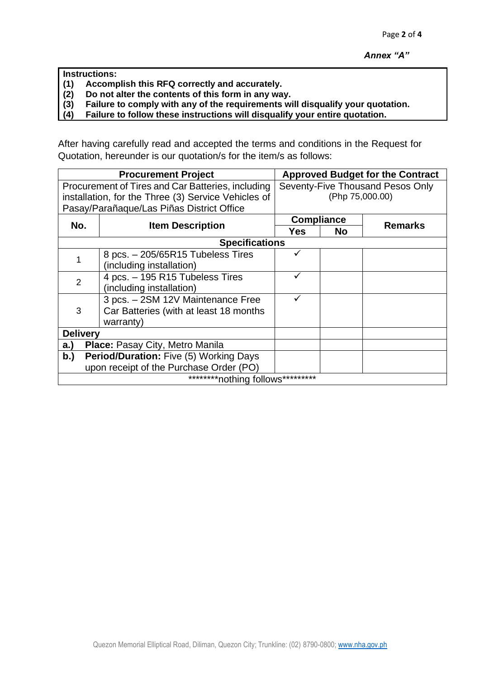|       | ! Instructions:                                   |  |
|-------|---------------------------------------------------|--|
| (1)   | Accomplish this RFQ correctly and accurately.     |  |
| l 191 | Do not alter the contents of this form in any way |  |

**(2) Do not alter the contents of this form in any way.**

**(3) Failure to comply with any of the requirements will disqualify your quotation.**

**(4) Failure to follow these instructions will disqualify your entire quotation.**

After having carefully read and accepted the terms and conditions in the Request for Quotation, hereunder is our quotation/s for the item/s as follows:

|                                                     | <b>Procurement Project</b>                        | <b>Approved Budget for the Contract</b> |           |                |  |  |
|-----------------------------------------------------|---------------------------------------------------|-----------------------------------------|-----------|----------------|--|--|
|                                                     | Procurement of Tires and Car Batteries, including | Seventy-Five Thousand Pesos Only        |           |                |  |  |
| installation, for the Three (3) Service Vehicles of |                                                   | (Php 75,000.00)                         |           |                |  |  |
| Pasay/Parañaque/Las Piñas District Office           |                                                   |                                         |           |                |  |  |
| No.                                                 |                                                   | <b>Compliance</b>                       |           | <b>Remarks</b> |  |  |
|                                                     | <b>Item Description</b>                           | Yes                                     | <b>No</b> |                |  |  |
| <b>Specifications</b>                               |                                                   |                                         |           |                |  |  |
|                                                     | 8 pcs. - 205/65R15 Tubeless Tires                 |                                         |           |                |  |  |
|                                                     | (including installation)                          |                                         |           |                |  |  |
| 2                                                   | 4 pcs. - 195 R15 Tubeless Tires                   |                                         |           |                |  |  |
|                                                     | (including installation)                          |                                         |           |                |  |  |
|                                                     | 3 pcs. - 2SM 12V Maintenance Free                 |                                         |           |                |  |  |
| 3                                                   | Car Batteries (with at least 18 months            |                                         |           |                |  |  |
|                                                     | warranty)                                         |                                         |           |                |  |  |
| <b>Delivery</b>                                     |                                                   |                                         |           |                |  |  |
| Place: Pasay City, Metro Manila<br>a.)              |                                                   |                                         |           |                |  |  |
| b.)                                                 | Period/Duration: Five (5) Working Days            |                                         |           |                |  |  |
|                                                     | upon receipt of the Purchase Order (PO)           |                                         |           |                |  |  |
| *********nothing follows*********                   |                                                   |                                         |           |                |  |  |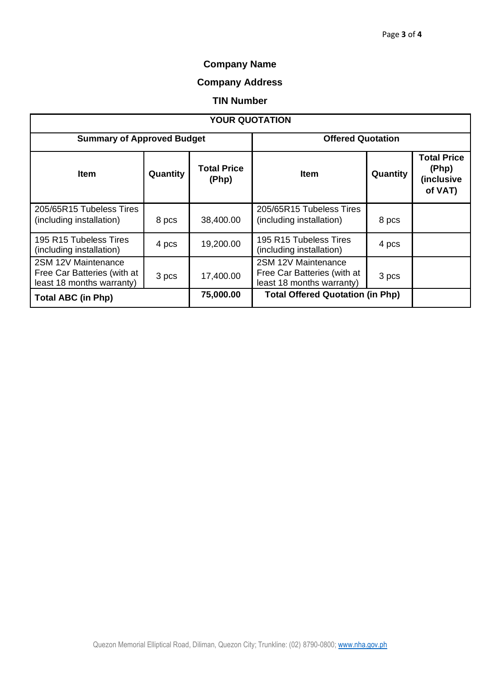# **Company Name**

# **Company Address**

#### **TIN Number**

| <b>YOUR QUOTATION</b>                                                           |          |                             |                                                                                 |          |                                                      |  |  |
|---------------------------------------------------------------------------------|----------|-----------------------------|---------------------------------------------------------------------------------|----------|------------------------------------------------------|--|--|
| <b>Summary of Approved Budget</b>                                               |          |                             | <b>Offered Quotation</b>                                                        |          |                                                      |  |  |
| <b>Item</b>                                                                     | Quantity | <b>Total Price</b><br>(Php) | Item                                                                            | Quantity | <b>Total Price</b><br>(Php)<br>(inclusive<br>of VAT) |  |  |
| 205/65R15 Tubeless Tires<br>(including installation)                            | 8 pcs    | 38,400.00                   | 205/65R15 Tubeless Tires<br>(including installation)                            | 8 pcs    |                                                      |  |  |
| 195 R15 Tubeless Tires<br>(including installation)                              | 4 pcs    | 19,200.00                   | 195 R15 Tubeless Tires<br>(including installation)                              | 4 pcs    |                                                      |  |  |
| 2SM 12V Maintenance<br>Free Car Batteries (with at<br>least 18 months warranty) | 3 pcs    | 17,400.00                   | 2SM 12V Maintenance<br>Free Car Batteries (with at<br>least 18 months warranty) | 3 pcs    |                                                      |  |  |
| <b>Total ABC (in Php)</b>                                                       |          | 75,000.00                   | <b>Total Offered Quotation (in Php)</b>                                         |          |                                                      |  |  |